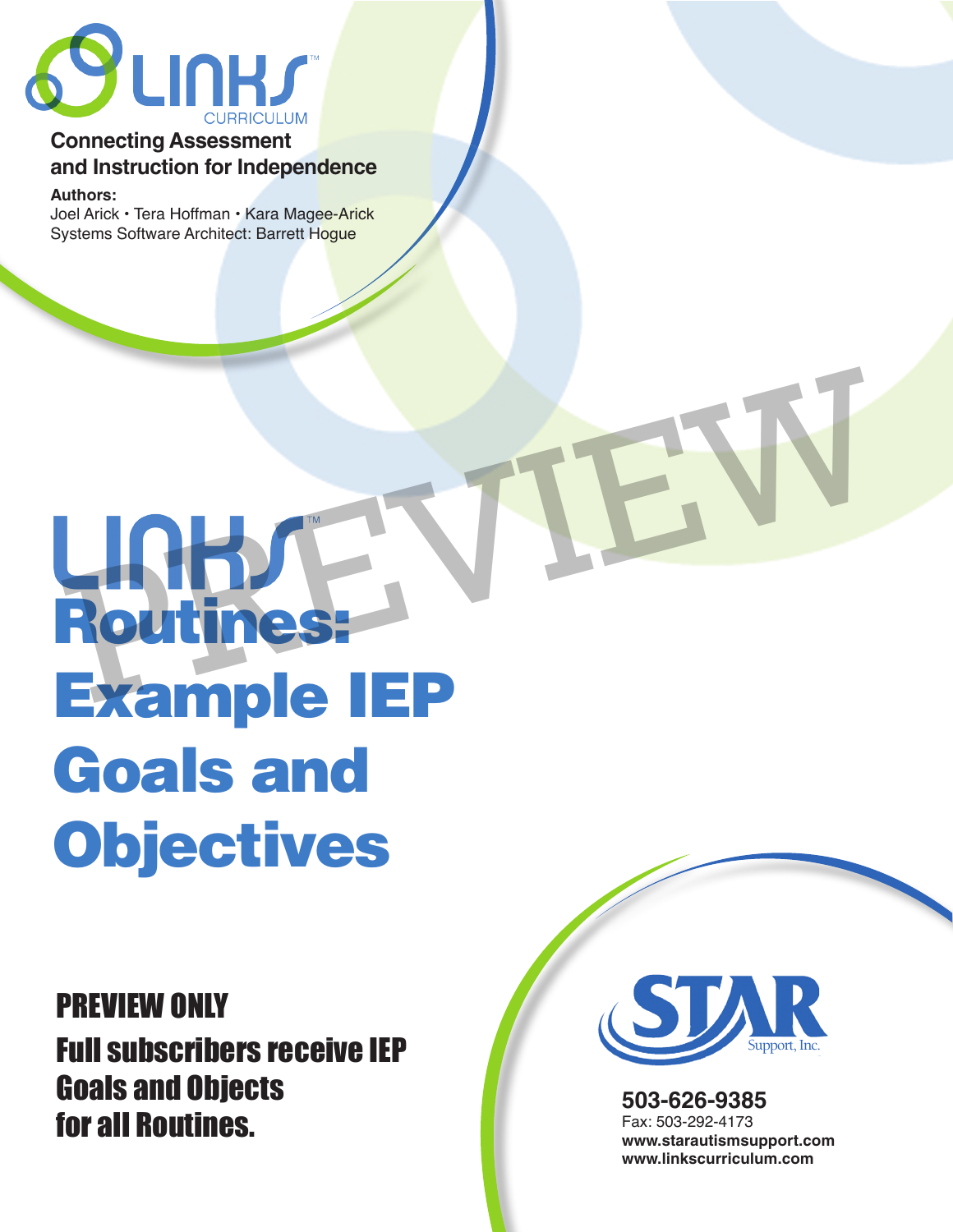

# **Connecting Assessment and Instruction for Independence**

**Authors:** 

Joel Arick • Tera Hoffman • Kara Magee-Arick Systems Software Architect: Barrett Hoque

# Routines: Example IEP Goals and **Objectives** UNHACH VIEW

PREVIEW ONLY Full subscribers receive IEP Goals and Objects for all Routines.



**503-626-9385** Fax: 503-292-4173 **www.starautismsupport.com www.linkscurriculum.com**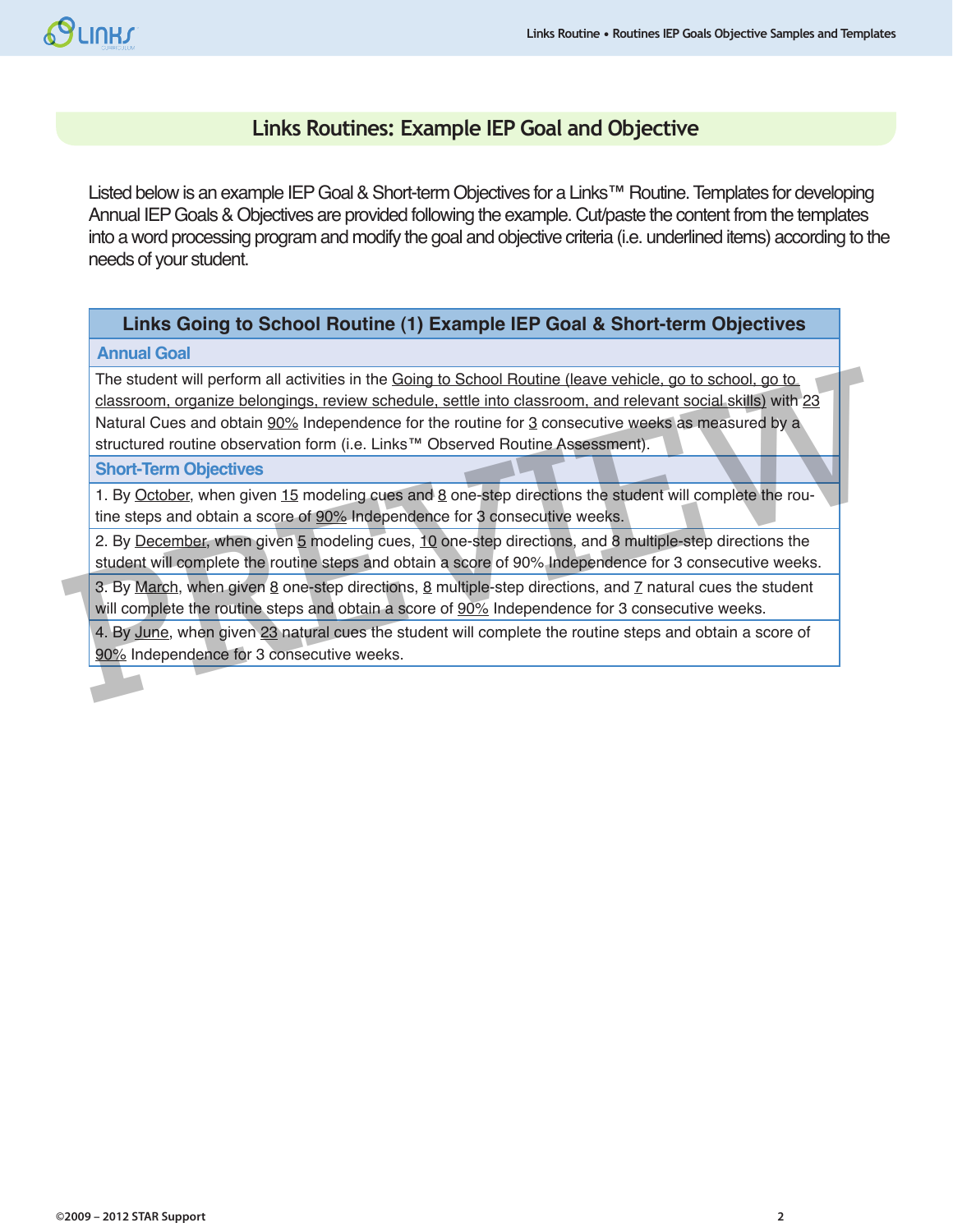# **SCINHS**

# **Links Routines: Example IEP Goal and Objective**

Listed below is an example IEP Goal & Short-term Objectives for a Links™ Routine. Templates for developing Annual IEP Goals & Objectives are provided following the example. Cut/paste the content from the templates into a word processing program and modify the goal and objective criteria (i.e. underlined items) according to the needs of your student.

### **Links Going to School Routine (1) Example IEP Goal & Short-term Objectives**

#### **Annual Goal**

The student will perform all activities in the Going to School Routine (leave vehicle, go to school, go to classroom, organize belongings, review schedule, settle into classroom, and relevant social skills) with 23 Natural Cues and obtain 90% Independence for the routine for 3 consecutive weeks as measured by a structured routine observation form (i.e. Links™ Observed Routine Assessment). The student will perform all activities in the Going to School Routine (leave vehicle, go to school, go to classroom, organize belongings, review schedule, settle into classroom, and relevant social skills) with 23<br>Natural

#### **Short-Term Objectives**

1. By October, when given 15 modeling cues and 8 one-step directions the student will complete the routine steps and obtain a score of 90% Independence for 3 consecutive weeks.

2. By December, when given 5 modeling cues, 10 one-step directions, and 8 multiple-step directions the student will complete the routine steps and obtain a score of 90% Independence for 3 consecutive weeks.

3. By March, when given  $8$  one-step directions,  $8$  multiple-step directions, and  $7$  natural cues the student will complete the routine steps and obtain a score of 90% Independence for 3 consecutive weeks.

4. By June, when given 23 natural cues the student will complete the routine steps and obtain a score of 90% Independence for 3 consecutive weeks.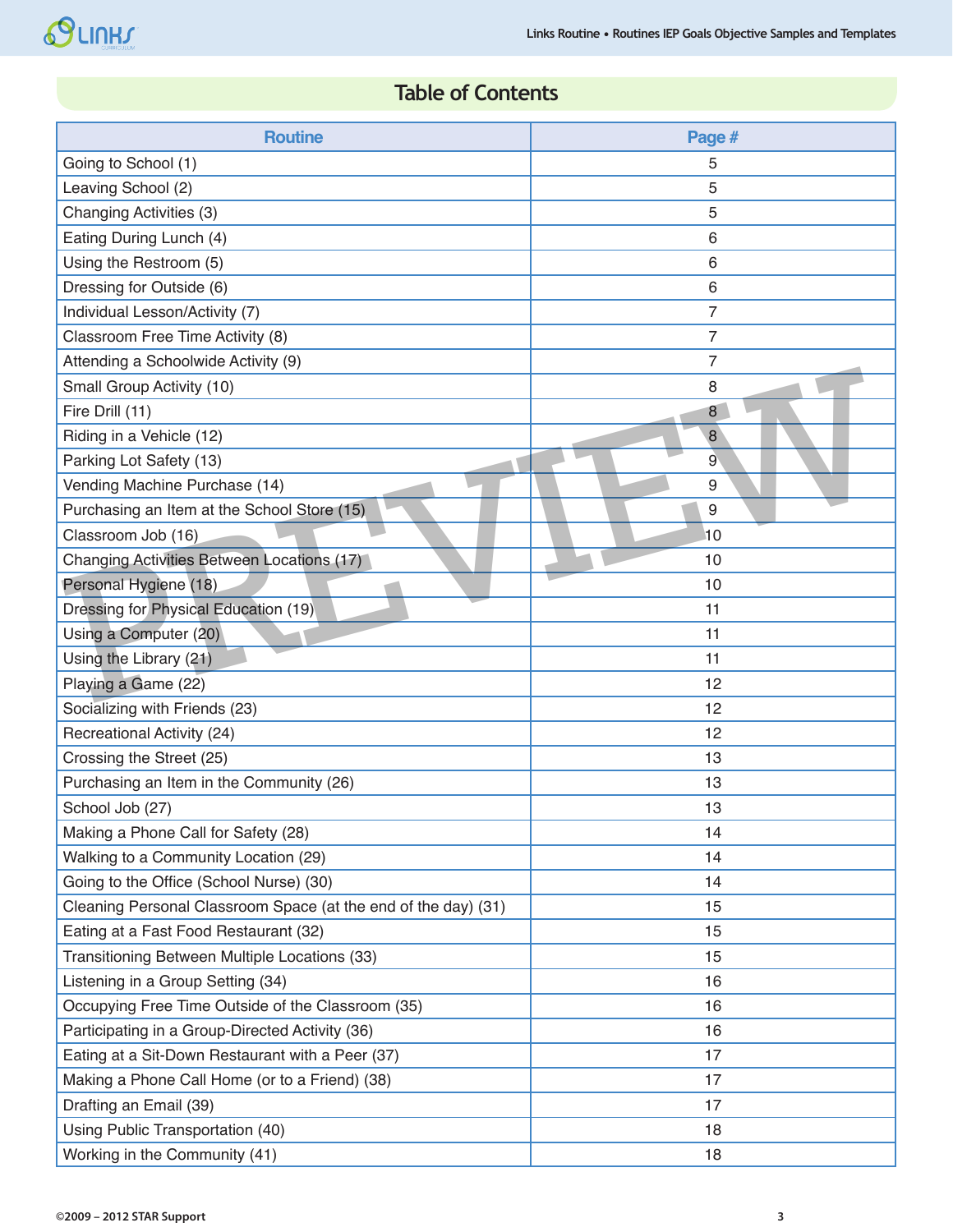# **Table of Contents**

| <b>Routine</b>                                                 | Page #         |
|----------------------------------------------------------------|----------------|
| Going to School (1)                                            | 5              |
| Leaving School (2)                                             | 5              |
| Changing Activities (3)                                        | 5              |
| Eating During Lunch (4)                                        | 6              |
| Using the Restroom (5)                                         | 6              |
| Dressing for Outside (6)                                       | 6              |
| Individual Lesson/Activity (7)                                 | 7              |
| Classroom Free Time Activity (8)                               | $\overline{7}$ |
| Attending a Schoolwide Activity (9)                            | $\overline{7}$ |
| Small Group Activity (10)                                      | 8              |
| Fire Drill (11)                                                | 8              |
| Riding in a Vehicle (12)                                       | $\bf 8$        |
| Parking Lot Safety (13)                                        | 9              |
| Vending Machine Purchase (14)                                  | 9              |
| Purchasing an Item at the School Store (15)                    | 9              |
| Classroom Job (16)                                             | 10             |
| Changing Activities Between Locations (17)                     | 10             |
| Personal Hygiene (18)                                          | 10             |
| Dressing for Physical Education (19)                           | 11             |
| Using a Computer (20)                                          | 11             |
| Using the Library (21)                                         | 11             |
| Playing a Game (22)                                            | 12             |
| Socializing with Friends (23)                                  | 12             |
| Recreational Activity (24)                                     | 12             |
| Crossing the Street (25)                                       | 13             |
| Purchasing an Item in the Community (26)                       | 13             |
| School Job (27)                                                | 13             |
| Making a Phone Call for Safety (28)                            | 14             |
| Walking to a Community Location (29)                           | 14             |
| Going to the Office (School Nurse) (30)                        | 14             |
| Cleaning Personal Classroom Space (at the end of the day) (31) | 15             |
| Eating at a Fast Food Restaurant (32)                          | 15             |
| Transitioning Between Multiple Locations (33)                  | 15             |
| Listening in a Group Setting (34)                              | 16             |
| Occupying Free Time Outside of the Classroom (35)              | 16             |
| Participating in a Group-Directed Activity (36)                | 16             |
| Eating at a Sit-Down Restaurant with a Peer (37)               | 17             |
| Making a Phone Call Home (or to a Friend) (38)                 | 17             |
| Drafting an Email (39)                                         | 17             |
| Using Public Transportation (40)                               | 18             |
| Working in the Community (41)                                  | 18             |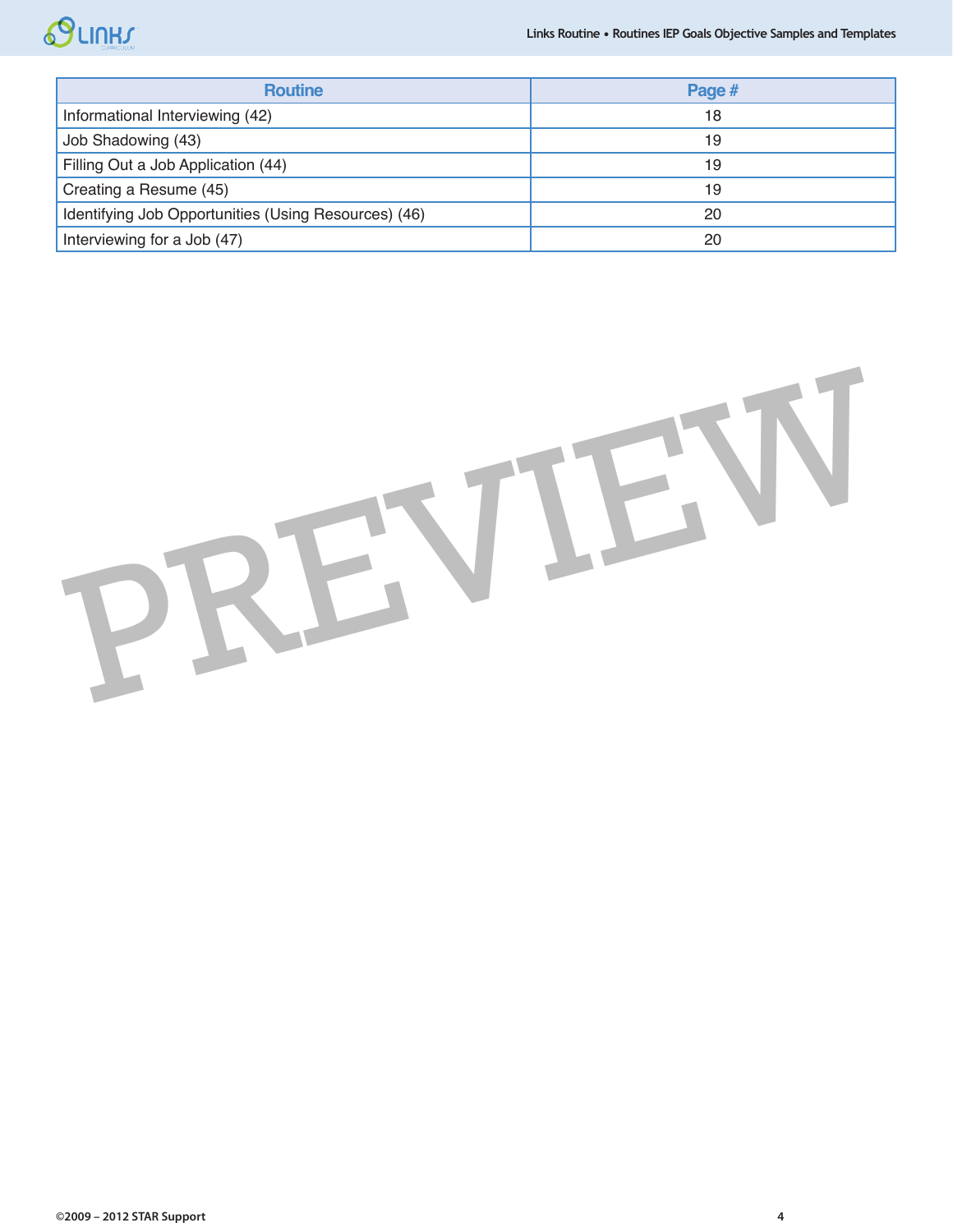# SCIURY

| <b>Routine</b>                                       | Page # |
|------------------------------------------------------|--------|
| Informational Interviewing (42)                      | 18     |
| Job Shadowing (43)                                   | 19     |
| Filling Out a Job Application (44)                   | 19     |
| Creating a Resume (45)                               | 19     |
| Identifying Job Opportunities (Using Resources) (46) | 20     |
| Interviewing for a Job (47)                          | 20     |

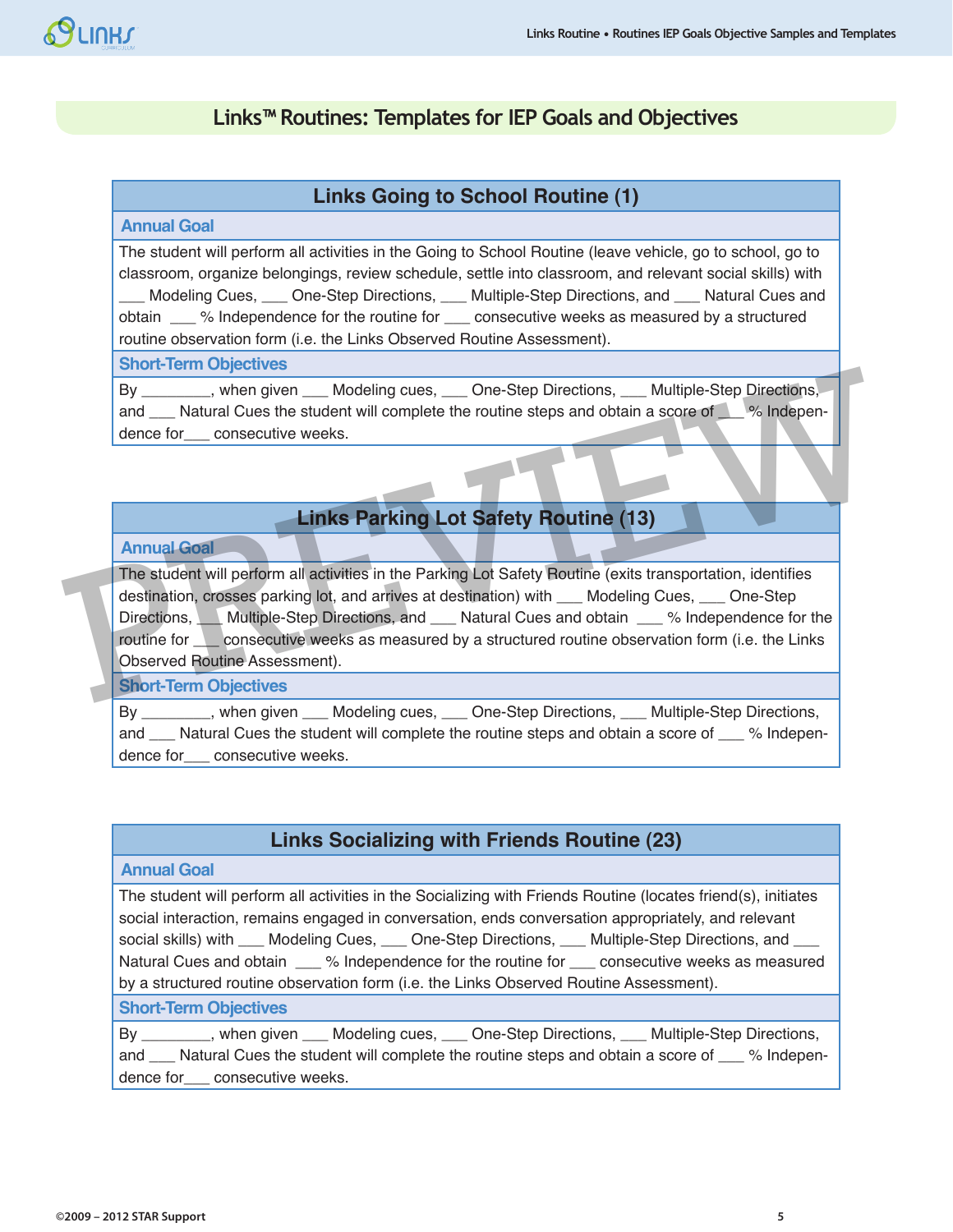# **Links™ Routines: Templates for IEP Goals and Objectives**

## **Links Going to School Routine (1)**

#### **Annual Goal**

The student will perform all activities in the Going to School Routine (leave vehicle, go to school, go to classroom, organize belongings, review schedule, settle into classroom, and relevant social skills) with Modeling Cues, \_\_\_ One-Step Directions, \_\_\_ Multiple-Step Directions, and \_\_\_ Natural Cues and obtain \_\_\_ % Independence for the routine for \_\_\_ consecutive weeks as measured by a structured routine observation form (i.e. the Links Observed Routine Assessment).

#### **Short-Term Objectives**

By \_\_\_\_\_\_\_\_, when given \_\_\_ Modeling cues, \_\_\_ One-Step Directions, \_\_\_ Multiple-Step Directions, and \_\_\_ Natural Cues the student will complete the routine steps and obtain a score of \_\_\_ % Independence for consecutive weeks.

# **Links Parking Lot Safety Routine (13)**

#### **Annual Goal**

The student will perform all activities in the Parking Lot Safety Routine (exits transportation, identifies destination, crosses parking lot, and arrives at destination) with \_\_\_ Modeling Cues, \_\_\_ One-Step Directions, Multiple-Step Directions, and Natural Cues and obtain % Independence for the routine for **Lands** consecutive weeks as measured by a structured routine observation form (i.e. the Links Observed Routine Assessment). By<br>
Nen given Modeling cues, One-Step Directions, Multiple-Step Directions,<br>
and Natural Cues the student will complete the routine steps and obtain a score of  $\%$  Independence for consecutive weeks.<br>
Links Parking Lot Sa

#### **Short-Term Objectives**

By \_\_\_\_\_\_\_\_, when given \_\_\_\_ Modeling cues, \_\_\_\_ One-Step Directions, \_\_\_\_ Multiple-Step Directions, and \_\_\_ Natural Cues the student will complete the routine steps and obtain a score of \_\_\_ % Independence for consecutive weeks.

# **Links Socializing with Friends Routine (23)**

#### **Annual Goal**

The student will perform all activities in the Socializing with Friends Routine (locates friend(s), initiates social interaction, remains engaged in conversation, ends conversation appropriately, and relevant social skills) with \_\_\_ Modeling Cues, \_\_\_ One-Step Directions, \_\_\_ Multiple-Step Directions, and Natural Cues and obtain  $\_\_\%$  Independence for the routine for  $\_\_\_$  consecutive weeks as measured by a structured routine observation form (i.e. the Links Observed Routine Assessment).

#### **Short-Term Objectives**

By \_\_\_\_\_\_\_\_, when given \_\_\_\_ Modeling cues, \_\_\_\_ One-Step Directions, \_\_\_ Multiple-Step Directions, and Matural Cues the student will complete the routine steps and obtain a score of % Independence for\_\_\_ consecutive weeks.